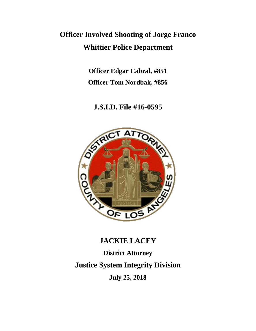# **Officer Involved Shooting of Jorge Franco Whittier Police Department**

**Officer Edgar Cabral, #851 Officer Tom Nordbak, #856**

### **J.S.I.D. File #16-0595**



## **JACKIE LACEY**

**District Attorney**

**Justice System Integrity Division**

**July 25, 2018**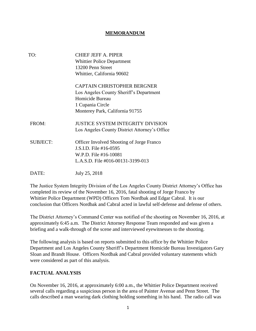#### **MEMORANDUM**

| TO:             | <b>CHIEF JEFF A. PIPER</b><br><b>Whittier Police Department</b><br>13200 Penn Street<br>Whittier, California 90602                                      |
|-----------------|---------------------------------------------------------------------------------------------------------------------------------------------------------|
|                 | <b>CAPTAIN CHRISTOPHER BERGNER</b><br>Los Angeles County Sheriff's Department<br>Homicide Bureau<br>1 Cupania Circle<br>Monterey Park, California 91755 |
| FROM:           | <b>JUSTICE SYSTEM INTEGRITY DIVISION</b><br>Los Angeles County District Attorney's Office                                                               |
| <b>SUBJECT:</b> | <b>Officer Involved Shooting of Jorge Franco</b><br>J.S.I.D. File #16-0595<br>W.P.D. File #16-10081<br>L.A.S.D. File #016-00131-3199-013                |
| DATE:           | July 25, 2018                                                                                                                                           |

The Justice System Integrity Division of the Los Angeles County District Attorney's Office has completed its review of the November 16, 2016, fatal shooting of Jorge Franco by Whittier Police Department (WPD) Officers Tom Nordbak and Edgar Cabral. It is our conclusion that Officers Nordbak and Cabral acted in lawful self-defense and defense of others.

The District Attorney's Command Center was notified of the shooting on November 16, 2016, at approximately 6:45 a.m. The District Attorney Response Team responded and was given a briefing and a walk-through of the scene and interviewed eyewitnesses to the shooting.

The following analysis is based on reports submitted to this office by the Whittier Police Department and Los Angeles County Sheriff's Department Homicide Bureau Investigators Gary Sloan and Brandt House. Officers Nordbak and Cabral provided voluntary statements which were considered as part of this analysis.

#### **FACTUAL ANALYSIS**

On November 16, 2016, at approximately 6:00 a.m., the Whittier Police Department received several calls regarding a suspicious person in the area of Painter Avenue and Penn Street. The calls described a man wearing dark clothing holding something in his hand. The radio call was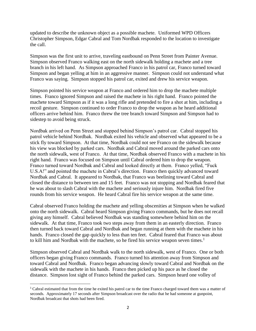updated to describe the unknown object as a possible machete. Uniformed WPD Officers Christopher Simpson, Edgar Cabral and Tom Nordbak responded to the location to investigate the call.

Simpson was the first unit to arrive, traveling eastbound on Penn Street from Painter Avenue. Simpson observed Franco walking east on the north sidewalk holding a machete and a tree branch in his left hand. As Simpson approached Franco in his patrol car, Franco turned toward Simpson and began yelling at him in an aggressive manner. Simpson could not understand what Franco was saying. Simpson stopped his patrol car, exited and drew his service weapon.

Simpson pointed his service weapon at Franco and ordered him to drop the machete multiple times. Franco ignored Simpson and raised the machete in his right hand. Franco pointed the machete toward Simpson as if it was a long rifle and pretended to fire a shot at him, including a recoil gesture. Simpson continued to order Franco to drop the weapon as he heard additional officers arrive behind him. Franco threw the tree branch toward Simpson and Simpson had to sidestep to avoid being struck.

Nordbak arrived on Penn Street and stopped behind Simpson's patrol car. Cabral stopped his patrol vehicle behind Nordbak. Nordbak exited his vehicle and observed what appeared to be a stick fly toward Simpson. At that time, Nordbak could not see Franco on the sidewalk because his view was blocked by parked cars. Nordbak and Cabral moved around the parked cars onto the north sidewalk, west of Franco. At that time, Nordbak observed Franco with a machete in his right hand. Franco was focused on Simpson until Cabral ordered him to drop the weapon. Franco turned toward Nordbak and Cabral and looked directly at them. Franco yelled, "Fuck U.S.A!" and pointed the machete in Cabral's direction. Franco then quickly advanced toward Nordbak and Cabral. It appeared to Nordbak, that Franco was beelining toward Cabral and closed the distance to between ten and 15 feet. Franco was not stopping and Nordbak feared that he was about to slash Cabral with the machete and seriously injure him. Nordbak fired five rounds from his service weapon. He heard Cabral fire his service weapon at the same time.

Cabral observed Franco holding the machete and yelling obscenities at Simpson when he walked onto the north sidewalk. Cabral heard Simpson giving Franco commands, but he does not recall giving any himself. Cabral believed Nordbak was standing somewhere behind him on the sidewalk. At that time, Franco took two steps away from them in an easterly direction. Franco then turned back toward Cabral and Nordbak and began running at them with the machete in his hands. Franco closed the gap quickly to less than ten feet. Cabral feared that Franco was about to kill him and Nordbak with the machete, so he fired his service weapon seven times.<sup>1</sup>

Simpson observed Cabral and Nordbak walk to the north sidewalk, west of Franco. One or both officers began giving Franco commands. Franco turned his attention away from Simpson and toward Cabral and Nordbak. Franco began advancing slowly toward Cabral and Nordbak on the sidewalk with the machete in his hands. Franco then picked up his pace as he closed the distance. Simpson lost sight of Franco behind the parked cars. Simpson heard one volley of

 $\overline{\phantom{a}}$ 

<sup>1</sup> Cabral estimated that from the time he exited his patrol car to the time Franco charged toward them was a matter of seconds. Approximately 17 seconds after Simpson broadcast over the radio that he had someone at gunpoint, Nordbak broadcast that shots had been fired.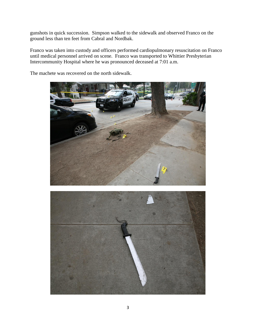gunshots in quick succession. Simpson walked to the sidewalk and observed Franco on the ground less than ten feet from Cabral and Nordbak.

Franco was taken into custody and officers performed cardiopulmonary resuscitation on Franco until medical personnel arrived on scene. Franco was transported to Whittier Presbyterian Intercommunity Hospital where he was pronounced deceased at 7:01 a.m.

The machete was recovered on the north sidewalk.



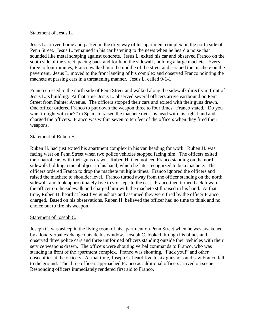#### Statement of Jesus L.

Jesus L. arrived home and parked in the driveway of his apartment complex on the north side of Penn Street. Jesus L. remained in his car listening to the news when he heard a noise that sounded like metal scraping against concrete. Jesus L. exited his car and observed Franco on the south side of the street, pacing back and forth on the sidewalk, holding a large machete. Every three to four minutes, Franco walked into the middle of the street and scraped the machete on the pavement. Jesus L. moved to the front landing of his complex and observed Franco pointing the machete at passing cars in a threatening manner. Jesus L. called 9-1-1.

Franco crossed to the north side of Penn Street and walked along the sidewalk directly in front of Jesus L.'s building. At that time, Jesus L. observed several officers arrive eastbound on Penn Street from Painter Avenue. The officers stopped their cars and exited with their guns drawn. One officer ordered Franco to put down the weapon three to four times. Franco stated, "Do you want to fight with me?" in Spanish, raised the machete over his head with his right hand and charged the officers. Franco was within seven to ten feet of the officers when they fired their weapons.

#### Statement of Ruben H.

Ruben H. had just exited his apartment complex in his van heading for work. Ruben H. was facing west on Penn Street when two police vehicles stopped facing him. The officers exited their patrol cars with their guns drawn. Ruben H. then noticed Franco standing on the north sidewalk holding a metal object in his hand, which he later recognized to be a machete. The officers ordered Franco to drop the machete multiple times. Franco ignored the officers and raised the machete to shoulder level. Franco turned away from the officer standing on the north sidewalk and took approximately five to six steps to the east. Franco then turned back toward the officer on the sidewalk and charged him with the machete still raised in his hand. At that time, Ruben H. heard at least five gunshots and assumed they were fired by the officer Franco charged. Based on his observations, Ruben H. believed the officer had no time to think and no choice but to fire his weapon.

#### Statement of Joseph C.

Joseph C. was asleep in the living room of his apartment on Penn Street when he was awakened by a loud verbal exchange outside his window. Joseph C. looked through his blinds and observed three police cars and three uniformed officers standing outside their vehicles with their service weapons drawn. The officers were shouting verbal commands to Franco, who was standing in front of the apartment complex. Franco was shouting, "Fuck you!" and other obscenities at the officers. At that time, Joseph C. heard five to six gunshots and saw Franco fall to the ground. The three officers approached Franco as additional officers arrived on scene. Responding officers immediately rendered first aid to Franco.